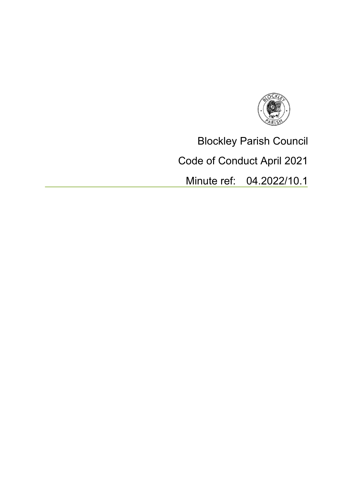

Blockley Parish Council

Code of Conduct April 2021

Minute ref: 04.2022/10.1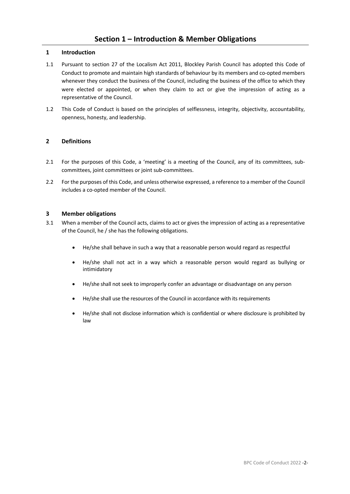### **1 Introduction**

- 1.1 Pursuant to section 27 of the Localism Act 2011, Blockley Parish Council has adopted this Code of Conduct to promote and maintain high standards of behaviour by its members and co-opted members whenever they conduct the business of the Council, including the business of the office to which they were elected or appointed, or when they claim to act or give the impression of acting as a representative of the Council.
- 1.2 This Code of Conduct is based on the principles of selflessness, integrity, objectivity, accountability, openness, honesty, and leadership.

## **2 Definitions**

- 2.1 For the purposes of this Code, a 'meeting' is a meeting of the Council, any of its committees, subcommittees, joint committees or joint sub-committees.
- 2.2 For the purposes of this Code, and unless otherwise expressed, a reference to a member of the Council includes a co-opted member of the Council.

### **3 Member obligations**

- 3.1 When a member of the Council acts, claims to act or gives the impression of acting as a representative of the Council, he / she has the following obligations.
	- He/she shall behave in such a way that a reasonable person would regard as respectful
	- He/she shall not act in a way which a reasonable person would regard as bullying or intimidatory
	- He/she shall not seek to improperly confer an advantage or disadvantage on any person
	- He/she shall use the resources of the Council in accordance with its requirements
	- He/she shall not disclose information which is confidential or where disclosure is prohibited by law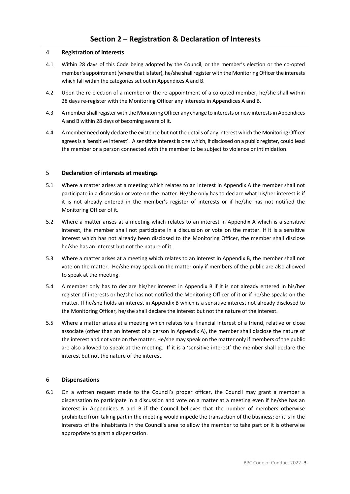## 4 **Registration of interests**

- 4.1 Within 28 days of this Code being adopted by the Council, or the member's election or the co-opted member's appointment (where that is later), he/she shall register with the Monitoring Officer the interests which fall within the categories set out in Appendices A and B.
- 4.2 Upon the re-election of a member or the re-appointment of a co-opted member, he/she shall within 28 days re-register with the Monitoring Officer any interests in Appendices A and B.
- 4.3 A member shall register with the Monitoring Officer any change to interests or new interests in Appendices A and B within 28 days of becoming aware of it.
- 4.4 A member need only declare the existence but not the details of any interest which the Monitoring Officer agrees is a 'sensitive interest'. A sensitive interest is one which, if disclosed on a public register, could lead the member or a person connected with the member to be subject to violence or intimidation.

### 5 **Declaration of interests at meetings**

- 5.1 Where a matter arises at a meeting which relates to an interest in Appendix A the member shall not participate in a discussion or vote on the matter. He/she only has to declare what his/her interest is if it is not already entered in the member's register of interests or if he/she has not notified the Monitoring Officer of it.
- 5.2 Where a matter arises at a meeting which relates to an interest in Appendix A which is a sensitive interest, the member shall not participate in a discussion or vote on the matter. If it is a sensitive interest which has not already been disclosed to the Monitoring Officer, the member shall disclose he/she has an interest but not the nature of it.
- 5.3 Where a matter arises at a meeting which relates to an interest in Appendix B, the member shall not vote on the matter. He/she may speak on the matter only if members of the public are also allowed to speak at the meeting.
- 5.4 A member only has to declare his/her interest in Appendix B if it is not already entered in his/her register of interests or he/she has not notified the Monitoring Officer of it or if he/she speaks on the matter. If he/she holds an interest in Appendix B which is a sensitive interest not already disclosed to the Monitoring Officer, he/she shall declare the interest but not the nature of the interest.
- 5.5 Where a matter arises at a meeting which relates to a financial interest of a friend, relative or close associate (other than an interest of a person in Appendix A), the member shall disclose the nature of the interest and not vote on the matter. He/she may speak on the matter only if members of the public are also allowed to speak at the meeting. If it is a 'sensitive interest' the member shall declare the interest but not the nature of the interest.

# 6 **Dispensations**

6.1 On a written request made to the Council's proper officer, the Council may grant a member a dispensation to participate in a discussion and vote on a matter at a meeting even if he/she has an interest in Appendices A and B if the Council believes that the number of members otherwise prohibited from taking part in the meeting would impede the transaction of the business; or it is in the interests of the inhabitants in the Council's area to allow the member to take part or it is otherwise appropriate to grant a dispensation.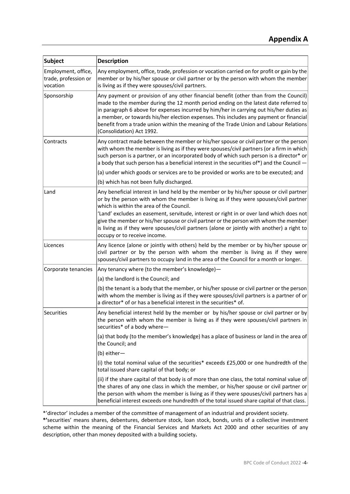| <b>Subject</b>                                          | <b>Description</b>                                                                                                                                                                                                                                                                                                                                                                                                                                                                      |
|---------------------------------------------------------|-----------------------------------------------------------------------------------------------------------------------------------------------------------------------------------------------------------------------------------------------------------------------------------------------------------------------------------------------------------------------------------------------------------------------------------------------------------------------------------------|
| Employment, office,<br>trade, profession or<br>vocation | Any employment, office, trade, profession or vocation carried on for profit or gain by the<br>member or by his/her spouse or civil partner or by the person with whom the member<br>is living as if they were spouses/civil partners.                                                                                                                                                                                                                                                   |
| Sponsorship                                             | Any payment or provision of any other financial benefit (other than from the Council)<br>made to the member during the 12 month period ending on the latest date referred to<br>in paragraph 6 above for expenses incurred by him/her in carrying out his/her duties as<br>a member, or towards his/her election expenses. This includes any payment or financial<br>benefit from a trade union within the meaning of the Trade Union and Labour Relations<br>(Consolidation) Act 1992. |
| Contracts                                               | Any contract made between the member or his/her spouse or civil partner or the person<br>with whom the member is living as if they were spouses/civil partners (or a firm in which<br>such person is a partner, or an incorporated body of which such person is a director* or<br>a body that such person has a beneficial interest in the securities of*) and the Council -                                                                                                            |
|                                                         | (a) under which goods or services are to be provided or works are to be executed; and                                                                                                                                                                                                                                                                                                                                                                                                   |
|                                                         | (b) which has not been fully discharged.                                                                                                                                                                                                                                                                                                                                                                                                                                                |
| Land                                                    | Any beneficial interest in land held by the member or by his/her spouse or civil partner<br>or by the person with whom the member is living as if they were spouses/civil partner<br>which is within the area of the Council.                                                                                                                                                                                                                                                           |
|                                                         | 'Land' excludes an easement, servitude, interest or right in or over land which does not<br>give the member or his/her spouse or civil partner or the person with whom the member<br>is living as if they were spouses/civil partners (alone or jointly with another) a right to<br>occupy or to receive income.                                                                                                                                                                        |
| Licences                                                | Any licence (alone or jointly with others) held by the member or by his/her spouse or<br>civil partner or by the person with whom the member is living as if they were<br>spouses/civil partners to occupy land in the area of the Council for a month or longer.                                                                                                                                                                                                                       |
| Corporate tenancies                                     | Any tenancy where (to the member's knowledge)-                                                                                                                                                                                                                                                                                                                                                                                                                                          |
|                                                         | (a) the landlord is the Council; and                                                                                                                                                                                                                                                                                                                                                                                                                                                    |
|                                                         | (b) the tenant is a body that the member, or his/her spouse or civil partner or the person<br>with whom the member is living as if they were spouses/civil partners is a partner of or<br>a director* of or has a beneficial interest in the securities* of.                                                                                                                                                                                                                            |
| Securities                                              | Any beneficial interest held by the member or by his/her spouse or civil partner or by<br>the person with whom the member is living as if they were spouses/civil partners in<br>securities* of a body where-                                                                                                                                                                                                                                                                           |
|                                                         | (a) that body (to the member's knowledge) has a place of business or land in the area of<br>the Council; and                                                                                                                                                                                                                                                                                                                                                                            |
|                                                         | (b) either-                                                                                                                                                                                                                                                                                                                                                                                                                                                                             |
|                                                         | (i) the total nominal value of the securities* exceeds £25,000 or one hundredth of the<br>total issued share capital of that body; or                                                                                                                                                                                                                                                                                                                                                   |
|                                                         | (ii) if the share capital of that body is of more than one class, the total nominal value of<br>the shares of any one class in which the member, or his/her spouse or civil partner or<br>the person with whom the member is living as if they were spouses/civil partners has a<br>beneficial interest exceeds one hundredth of the total issued share capital of that class.                                                                                                          |

\*'director' includes a member of the committee of management of an industrial and provident society.

**\*'**securities' means shares, debentures, debenture stock, loan stock, bonds, units of a collective investment scheme within the meaning of the Financial Services and Markets Act 2000 and other securities of any description, other than money deposited with a building society**.**